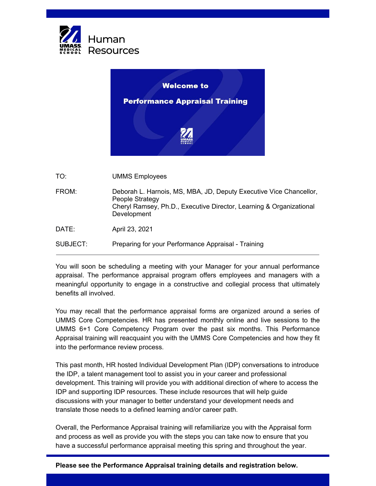



TO: UMMS Employees

| FROM:    | Deborah L. Harnois, MS, MBA, JD, Deputy Executive Vice Chancellor,<br>People Strategy<br>Cheryl Ramsey, Ph.D., Executive Director, Learning & Organizational<br>Development |
|----------|-----------------------------------------------------------------------------------------------------------------------------------------------------------------------------|
| DATE:    | April 23, 2021                                                                                                                                                              |
| SUBJECT: | Preparing for your Performance Appraisal - Training                                                                                                                         |

You will soon be scheduling a meeting with your Manager for your annual performance appraisal. The performance appraisal program offers employees and managers with a meaningful opportunity to engage in a constructive and collegial process that ultimately benefits all involved.

You may recall that the performance appraisal forms are organized around a series of UMMS Core Competencies. HR has presented monthly online and live sessions to the UMMS 6+1 Core Competency Program over the past six months. This Performance Appraisal training will reacquaint you with the UMMS Core Competencies and how they fit into the performance review process.

This past month, HR hosted Individual Development Plan (IDP) conversations to introduce the IDP, a talent management tool to assist you in your career and professional development. This training will provide you with additional direction of where to access the IDP and supporting IDP resources. These include resources that will help guide discussions with your manager to better understand your development needs and translate those needs to a defined learning and/or career path.

Overall, the Performance Appraisal training will refamiliarize you with the Appraisal form and process as well as provide you with the steps you can take now to ensure that you have a successful performance appraisal meeting this spring and throughout the year.

## **Please see the Performance Appraisal training details and registration below.**